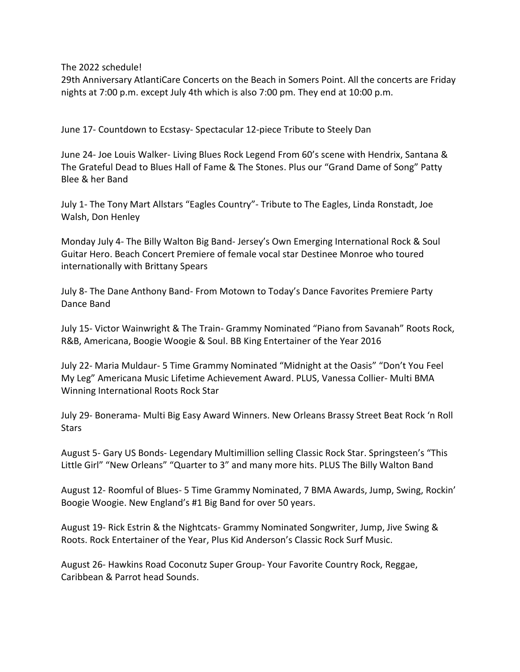The 2022 schedule!

29th Anniversary AtlantiCare Concerts on the Beach in Somers Point. All the concerts are Friday nights at 7:00 p.m. except July 4th which is also 7:00 pm. They end at 10:00 p.m.

June 17- Countdown to Ecstasy- Spectacular 12-piece Tribute to Steely Dan

June 24- Joe Louis Walker- Living Blues Rock Legend From 60's scene with Hendrix, Santana & The Grateful Dead to Blues Hall of Fame & The Stones. Plus our "Grand Dame of Song" Patty Blee & her Band

July 1- The Tony Mart Allstars "Eagles Country"- Tribute to The Eagles, Linda Ronstadt, Joe Walsh, Don Henley

Monday July 4- The Billy Walton Big Band- Jersey's Own Emerging International Rock & Soul Guitar Hero. Beach Concert Premiere of female vocal star Destinee Monroe who toured internationally with Brittany Spears

July 8- The Dane Anthony Band- From Motown to Today's Dance Favorites Premiere Party Dance Band

July 15- Victor Wainwright & The Train- Grammy Nominated "Piano from Savanah" Roots Rock, R&B, Americana, Boogie Woogie & Soul. BB King Entertainer of the Year 2016

July 22- Maria Muldaur- 5 Time Grammy Nominated "Midnight at the Oasis" "Don't You Feel My Leg" Americana Music Lifetime Achievement Award. PLUS, Vanessa Collier- Multi BMA Winning International Roots Rock Star

July 29- Bonerama- Multi Big Easy Award Winners. New Orleans Brassy Street Beat Rock 'n Roll **Stars** 

August 5- Gary US Bonds- Legendary Multimillion selling Classic Rock Star. Springsteen's "This Little Girl" "New Orleans" "Quarter to 3" and many more hits. PLUS The Billy Walton Band

August 12- Roomful of Blues- 5 Time Grammy Nominated, 7 BMA Awards, Jump, Swing, Rockin' Boogie Woogie. New England's #1 Big Band for over 50 years.

August 19- Rick Estrin & the Nightcats- Grammy Nominated Songwriter, Jump, Jive Swing & Roots. Rock Entertainer of the Year, Plus Kid Anderson's Classic Rock Surf Music.

August 26- Hawkins Road Coconutz Super Group- Your Favorite Country Rock, Reggae, Caribbean & Parrot head Sounds.